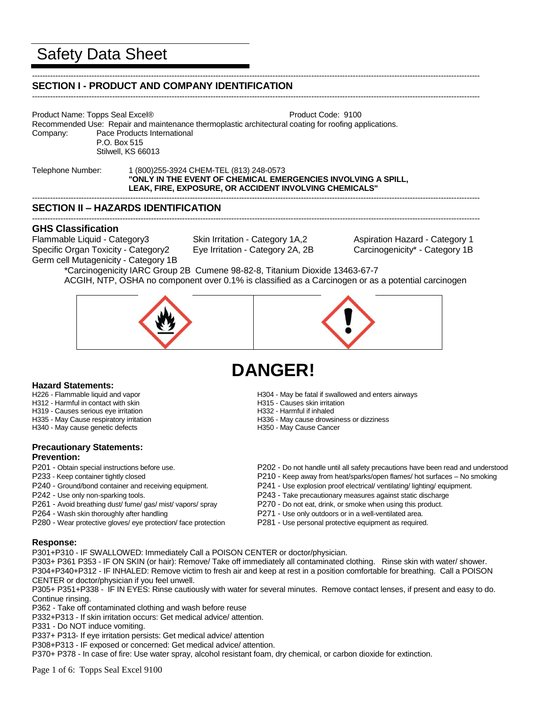# Safety Data Sheet

#### ----------------------------------------------------------------------------------------------------------------------------------------------------------------------------- **SECTION I - PRODUCT AND COMPANY IDENTIFICATION**

Product Name: Topps Seal Excel® Product Code: 9100 Recommended Use: Repair and maintenance thermoplastic architectural coating for roofing applications. Company: Pace Products International P.O. Box 515 Stilwell, KS 66013

Telephone Number: 1 (800)255-3924 CHEM-TEL (813) 248-0573 **"ONLY IN THE EVENT OF CHEMICAL EMERGENCIES INVOLVING A SPILL, LEAK, FIRE, EXPOSURE, OR ACCIDENT INVOLVING CHEMICALS"**

# **SECTION II – HAZARDS IDENTIFICATION**

# **GHS Classification**

Flammable Liquid - Category3 Skin Irritation - Category 1A,2 Aspiration Hazard - Category 1 Specific Organ Toxicity - Category2 Eye Irritation - Category 2A, 2B Carcinogenicity\* - Category 1B Germ cell Mutagenicity - Category 1B

-----------------------------------------------------------------------------------------------------------------------------------------------------------------------------

-----------------------------------------------------------------------------------------------------------------------------------------------------------------------------

-----------------------------------------------------------------------------------------------------------------------------------------------------------------------------

\*Carcinogenicity IARC Group 2B Cumene 98-82-8, Titanium Dioxide 13463-67-7 ACGIH, NTP, OSHA no component over 0.1% is classified as a Carcinogen or as a potential carcinogen



# **DANGER!**

- **Hazard Statements:**<br>H226 Flammable liquid and vapor
- H312 Harmful in contact with skin
- H319 Causes serious eye irritation H332 Harmful if inhaled
- 
- H340 May cause genetic defects

# **Precautionary Statements: Prevention:**

- 
- 
- 
- 
- 
- 
- P280 Wear protective gloves/ eye protection/ face protection P281 Use personal protective equipment as required.
- H304 May be fatal if swallowed and enters airways<br>H315 Causes skin irritation
- 
- 
- H335 May Cause respiratory irritation entity and the H336 May cause drowsiness or dizziness H340 May cause genetic defects entity and H350 May Cause Cancer
	-
- P201 Obtain special instructions before use. P202 Do not handle until all safety precautions have been read and understood
- P233 Keep container tightly closed P210 Keep away from heat/sparks/open flames/ hot surfaces No smoking
- P240 Ground/bond container and receiving equipment. P241 Use explosion proof electrical/ ventilating/ lighting/ equipment.
- P242 Use only non-sparking tools. P243 Take precautionary measures against static discharge
- P261 Avoid breathing dust/ fume/ gas/ mist/ vapors/ spray P270 Do not eat, drink, or smoke when using this product.
- P264 Wash skin thoroughly after handling example and part of P271 Use only outdoors or in a well-ventilated area.
	-

### **Response:**

P301+P310 - IF SWALLOWED: Immediately Call a POISON CENTER or doctor/physician.

P303+ P361 P353 - IF ON SKIN (or hair): Remove/ Take off immediately all contaminated clothing. Rinse skin with water/ shower. P304+P340+P312 - IF INHALED: Remove victim to fresh air and keep at rest in a position comfortable for breathing. Call a POISON CENTER or doctor/physician if you feel unwell.

P305+ P351+P338 - IF IN EYES: Rinse cautiously with water for several minutes. Remove contact lenses, if present and easy to do. Continue rinsing.

P362 - Take off contaminated clothing and wash before reuse

P332+P313 - If skin irritation occurs: Get medical advice/ attention.

P331 - Do NOT induce vomiting.

P337+ P313- If eye irritation persists: Get medical advice/ attention

P308+P313 - IF exposed or concerned: Get medical advice/ attention.

P370+ P378 - In case of fire: Use water spray, alcohol resistant foam, dry chemical, or carbon dioxide for extinction.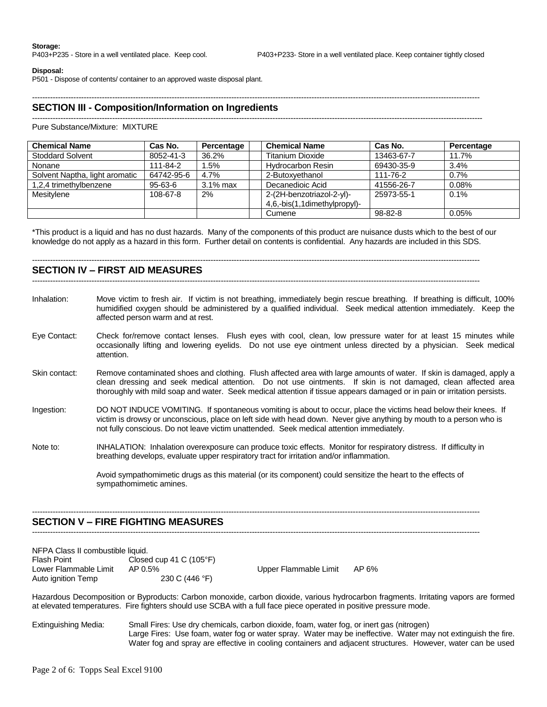#### **Disposal:**

P501 - Dispose of contents/ container to an approved waste disposal plant.

#### -----------------------------------------------------------------------------------------------------------------------------------------------------------------------------

# **SECTION III - Composition/Information on Ingredients**

#### ------------------------------------------------------------------------------------------------------------------------------------------------------------------------------ Pure Substance/Mixture: MIXTURE

| <b>Chemical Name</b>           | Cas No.    | Percentage  | <b>Chemical Name</b>         | Cas No.    | Percentage |
|--------------------------------|------------|-------------|------------------------------|------------|------------|
| <b>Stoddard Solvent</b>        | 8052-41-3  | 36.2%       | <b>Titanium Dioxide</b>      | 13463-67-7 | 11.7%      |
| Nonane                         | 111-84-2   | .5%         | <b>Hydrocarbon Resin</b>     | 69430-35-9 | 3.4%       |
| Solvent Naptha, light aromatic | 64742-95-6 | 4.7%        | 2-Butoxvethanol              | 111-76-2   | 0.7%       |
| 1,2,4 trimethylbenzene         | 95-63-6    | $3.1\%$ max | Decanedioic Acid             | 41556-26-7 | 0.08%      |
| Mesitylene                     | 108-67-8   | 2%          | 2-(2H-benzotriazol-2-yl)-    | 25973-55-1 | $0.1\%$    |
|                                |            |             | 4,6,-bis(1,1dimethylpropyl)- |            |            |
|                                |            |             | Cumene                       | 98-82-8    | 0.05%      |

\*This product is a liquid and has no dust hazards. Many of the components of this product are nuisance dusts which to the best of our knowledge do not apply as a hazard in this form. Further detail on contents is confidential. Any hazards are included in this SDS.

-----------------------------------------------------------------------------------------------------------------------------------------------------------------------------

## **SECTION IV – FIRST AID MEASURES**

- -----------------------------------------------------------------------------------------------------------------------------------------------------------------------------
- Inhalation: Move victim to fresh air. If victim is not breathing, immediately begin rescue breathing. If breathing is difficult, 100% humidified oxygen should be administered by a qualified individual. Seek medical attention immediately. Keep the affected person warm and at rest.
- Eye Contact: Check for/remove contact lenses. Flush eyes with cool, clean, low pressure water for at least 15 minutes while occasionally lifting and lowering eyelids. Do not use eye ointment unless directed by a physician. Seek medical attention.
- Skin contact: Remove contaminated shoes and clothing. Flush affected area with large amounts of water. If skin is damaged, apply a clean dressing and seek medical attention. Do not use ointments. If skin is not damaged, clean affected area thoroughly with mild soap and water. Seek medical attention if tissue appears damaged or in pain or irritation persists.
- Ingestion: DO NOT INDUCE VOMITING. If spontaneous vomiting is about to occur, place the victims head below their knees. If victim is drowsy or unconscious, place on left side with head down. Never give anything by mouth to a person who is not fully conscious. Do not leave victim unattended. Seek medical attention immediately.
- Note to: INHALATION: Inhalation overexposure can produce toxic effects. Monitor for respiratory distress. If difficulty in breathing develops, evaluate upper respiratory tract for irritation and/or inflammation.

-----------------------------------------------------------------------------------------------------------------------------------------------------------------------------

-----------------------------------------------------------------------------------------------------------------------------------------------------------------------------

Avoid sympathomimetic drugs as this material (or its component) could sensitize the heart to the effects of sympathomimetic amines.

### **SECTION V – FIRE FIGHTING MEASURES**

| NFPA Class II combustible liquid. |                                  |                       |       |
|-----------------------------------|----------------------------------|-----------------------|-------|
| Flash Point                       | Closed cup 41 C $(105^{\circ}F)$ |                       |       |
| Lower Flammable Limit             | AP 0.5%                          | Upper Flammable Limit | AP 6% |
| Auto ignition Temp                | 230 C (446 °F)                   |                       |       |

Hazardous Decomposition or Byproducts: Carbon monoxide, carbon dioxide, various hydrocarbon fragments. Irritating vapors are formed at elevated temperatures. Fire fighters should use SCBA with a full face piece operated in positive pressure mode.

Extinguishing Media: Small Fires: Use dry chemicals, carbon dioxide, foam, water fog, or inert gas (nitrogen) Large Fires: Use foam, water fog or water spray. Water may be ineffective. Water may not extinguish the fire. Water fog and spray are effective in cooling containers and adjacent structures. However, water can be used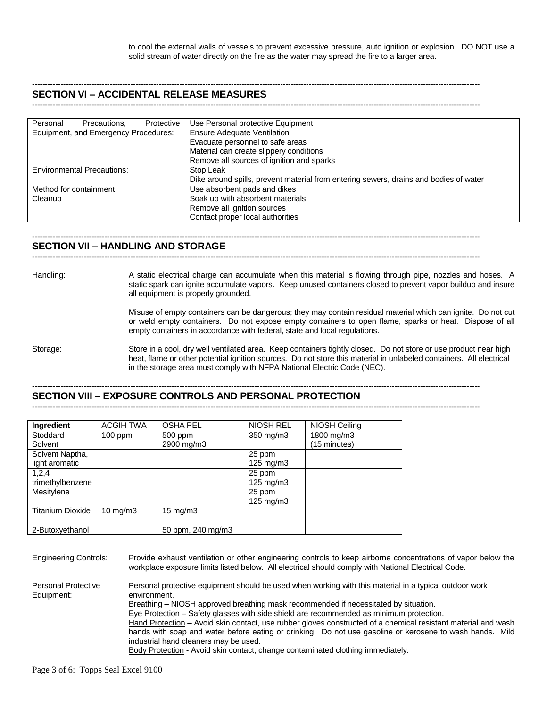to cool the external walls of vessels to prevent excessive pressure, auto ignition or explosion. DO NOT use a solid stream of water directly on the fire as the water may spread the fire to a larger area.

# **SECTION VI – ACCIDENTAL RELEASE MEASURES**

-----------------------------------------------------------------------------------------------------------------------------------------------------------------------------

-----------------------------------------------------------------------------------------------------------------------------------------------------------------------------

| Protective<br>Personal<br>Precautions. | Use Personal protective Equipment                                                     |  |  |
|----------------------------------------|---------------------------------------------------------------------------------------|--|--|
| Equipment, and Emergency Procedures:   | <b>Ensure Adequate Ventilation</b>                                                    |  |  |
|                                        | Evacuate personnel to safe areas                                                      |  |  |
|                                        | Material can create slippery conditions                                               |  |  |
|                                        | Remove all sources of ignition and sparks                                             |  |  |
| <b>Environmental Precautions:</b>      | Stop Leak                                                                             |  |  |
|                                        | Dike around spills, prevent material from entering sewers, drains and bodies of water |  |  |
| Method for containment                 | Use absorbent pads and dikes                                                          |  |  |
| Cleanup                                | Soak up with absorbent materials                                                      |  |  |
|                                        | Remove all ignition sources                                                           |  |  |
|                                        | Contact proper local authorities                                                      |  |  |

#### ----------------------------------------------------------------------------------------------------------------------------------------------------------------------------- **SECTION VII – HANDLING AND STORAGE**

-----------------------------------------------------------------------------------------------------------------------------------------------------------------------------

Handling: A static electrical charge can accumulate when this material is flowing through pipe, nozzles and hoses. A static spark can ignite accumulate vapors. Keep unused containers closed to prevent vapor buildup and insure all equipment is properly grounded.

> Misuse of empty containers can be dangerous; they may contain residual material which can ignite. Do not cut or weld empty containers. Do not expose empty containers to open flame, sparks or heat. Dispose of all empty containers in accordance with federal, state and local regulations.

Storage: Store in a cool, dry well ventilated area. Keep containers tightly closed. Do not store or use product near high heat, flame or other potential ignition sources. Do not store this material in unlabeled containers. All electrical in the storage area must comply with NFPA National Electric Code (NEC).

#### ----------------------------------------------------------------------------------------------------------------------------------------------------------------------------- **SECTION VIII – EXPOSURE CONTROLS AND PERSONAL PROTECTION**

-----------------------------------------------------------------------------------------------------------------------------------------------------------------------------

| Ingredient              | <b>ACGIH TWA</b>  | <b>OSHA PEL</b>   | <b>NIOSH REL</b>     | NIOSH Ceiling |
|-------------------------|-------------------|-------------------|----------------------|---------------|
| Stoddard                | $100$ ppm         | 500 ppm           | 350 mg/m3            | 1800 mg/m3    |
| Solvent                 |                   | 2900 mg/m3        |                      | (15 minutes)  |
| Solvent Naptha,         |                   |                   | 25 ppm               |               |
| light aromatic          |                   |                   | $125 \text{ mg/m}$   |               |
| 1,2,4                   |                   |                   | 25 ppm               |               |
| trimethylbenzene        |                   |                   | $125 \text{ mg/m}$ 3 |               |
| Mesitylene              |                   |                   | 25 ppm               |               |
|                         |                   |                   | $125 \text{ mg/m}$ 3 |               |
| <b>Titanium Dioxide</b> | $10 \text{ mg/m}$ | $15 \text{ mg/m}$ |                      |               |
|                         |                   |                   |                      |               |
| 2-Butoxyethanol         |                   | 50 ppm, 240 mg/m3 |                      |               |

Engineering Controls: Provide exhaust ventilation or other engineering controls to keep airborne concentrations of vapor below the workplace exposure limits listed below. All electrical should comply with National Electrical Code. Personal Protective Personal protective equipment should be used when working with this material in a typical outdoor work<br>Equipment: environment. environment. Breathing - NIOSH approved breathing mask recommended if necessitated by situation.  $Eye$  Protection – Safety glasses with side shield are recommended as minimum protection. Hand Protection – Avoid skin contact, use rubber gloves constructed of a chemical resistant material and wash hands with soap and water before eating or drinking. Do not use gasoline or kerosene to wash hands. Mild industrial hand cleaners may be used.

Body Protection - Avoid skin contact, change contaminated clothing immediately.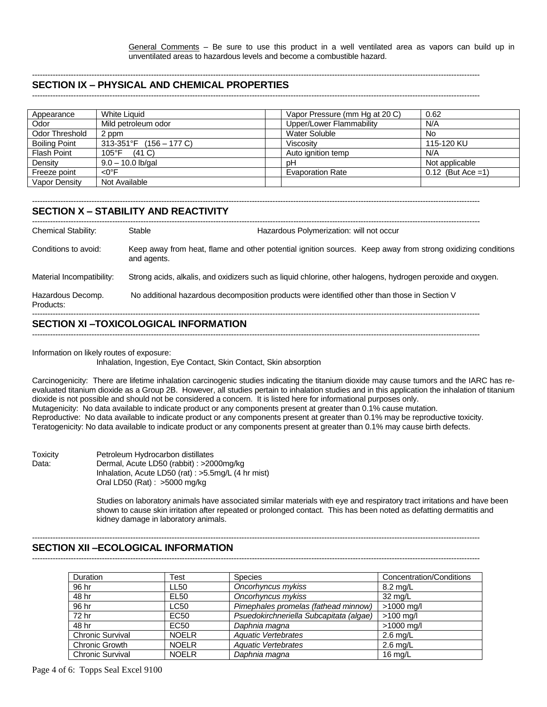General Comments – Be sure to use this product in a well ventilated area as vapors can build up in unventilated areas to hazardous levels and become a combustible hazard.

#### ----------------------------------------------------------------------------------------------------------------------------------------------------------------------------- **SECTION IX – PHYSICAL AND CHEMICAL PROPERTIES**

-----------------------------------------------------------------------------------------------------------------------------------------------------------------------------

| Appearance           | <b>White Liquid</b>               | Vapor Pressure (mm Hg at 20 C) | 0.62                 |
|----------------------|-----------------------------------|--------------------------------|----------------------|
| Odor                 | Mild petroleum odor               | Upper/Lower Flammability       | N/A                  |
| Odor Threshold       | 2 ppm                             | <b>Water Soluble</b>           | No                   |
| <b>Boiling Point</b> | 313-351°F $(156 - 177 \text{ C})$ | Viscosity                      | 115-120 KU           |
| <b>Flash Point</b>   | $105^{\circ}$ F<br>(41 C)         | Auto ignition temp             | N/A                  |
| Density              | $9.0 - 10.0$ lb/gal               | рH                             | Not applicable       |
| Freeze point         | $<$ 0 $\degree$ F                 | <b>Evaporation Rate</b>        | $0.12$ (But Ace = 1) |
| Vapor Density        | Not Available                     |                                |                      |

### **SECTION X – STABILITY AND REACTIVITY**

| <b>Chemical Stability:</b>     | Stable                                                                                       | Hazardous Polymerization: will not occur |                                                                                                             |
|--------------------------------|----------------------------------------------------------------------------------------------|------------------------------------------|-------------------------------------------------------------------------------------------------------------|
| Conditions to avoid:           | and agents.                                                                                  |                                          | Keep away from heat, flame and other potential ignition sources. Keep away from strong oxidizing conditions |
| Material Incompatibility:      |                                                                                              |                                          | Strong acids, alkalis, and oxidizers such as liquid chlorine, other halogens, hydrogen peroxide and oxygen. |
| Hazardous Decomp.<br>Products: | No additional hazardous decomposition products were identified other than those in Section V |                                          |                                                                                                             |
|                                |                                                                                              |                                          |                                                                                                             |

## **SECTION XI –TOXICOLOGICAL INFORMATION** -----------------------------------------------------------------------------------------------------------------------------------------------------------------------------

Information on likely routes of exposure:

Inhalation, Ingestion, Eye Contact, Skin Contact, Skin absorption

Carcinogenicity: There are lifetime inhalation carcinogenic studies indicating the titanium dioxide may cause tumors and the IARC has reevaluated titanium dioxide as a Group 2B. However, all studies pertain to inhalation studies and in this application the inhalation of titanium dioxide is not possible and should not be considered a concern. It is listed here for informational purposes only. Mutagenicity: No data available to indicate product or any components present at greater than 0.1% cause mutation. Reproductive: No data available to indicate product or any components present at greater than 0.1% may be reproductive toxicity. Teratogenicity: No data available to indicate product or any components present at greater than 0.1% may cause birth defects.

Toxicity Petroleum Hydrocarbon distillates Data: Dermal, Acute LD50 (rabbit) : >2000mg/kg Inhalation, Acute LD50 (rat) : >5.5mg/L (4 hr mist) Oral LD50 (Rat) : >5000 mg/kg

> Studies on laboratory animals have associated similar materials with eye and respiratory tract irritations and have been shown to cause skin irritation after repeated or prolonged contact. This has been noted as defatting dermatitis and kidney damage in laboratory animals.

> > -----------------------------------------------------------------------------------------------------------------------------------------------------------------------------

### **SECTION XII –ECOLOGICAL INFORMATION**

-----------------------------------------------------------------------------------------------------------------------------------------------------------------------------

| <b>Duration</b>         | Test             | <b>Species</b>                          | Concentration/Conditions |
|-------------------------|------------------|-----------------------------------------|--------------------------|
| 96 hr                   | LL50             | Oncorhyncus mykiss                      | $8.2 \text{ rad/L}$      |
| 48 hr                   | <b>EL50</b>      | Oncorhyncus mykiss                      | 32 mg/L                  |
| 96 hr                   | LC50             | Pimephales promelas (fathead minnow)    | $>1000$ mg/l             |
| 72 hr                   | EC50             | Psuedokirchneriella Subcapitata (algae) | $>100$ mg/l              |
| 48 hr                   | EC <sub>50</sub> | Daphnia magna                           | $>1000$ mg/l             |
| <b>Chronic Survival</b> | <b>NOELR</b>     | <b>Aquatic Vertebrates</b>              | $2.6 \text{ mg/L}$       |
| <b>Chronic Growth</b>   | <b>NOELR</b>     | <b>Aquatic Vertebrates</b>              | $2.6 \text{ mg/L}$       |
| <b>Chronic Survival</b> | <b>NOELR</b>     | Daphnia magna                           | 16 $mq/L$                |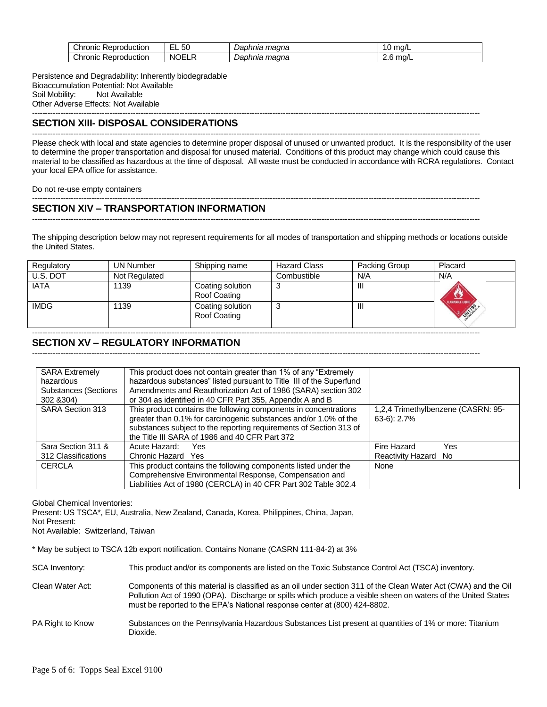| Chronic<br>-<br>Reproduction | $ -$<br>51<br>v<br>— L | maana<br>Daphnia | ma/L<br>A. |
|------------------------------|------------------------|------------------|------------|
| Chronic<br>-<br>Reproduction | -<br>NOF'<br>. .<br>∼  | maana<br>Daphnia | ma/L<br>ـ… |

Persistence and Degradability: Inherently biodegradable Bioaccumulation Potential: Not Available Soil Mobility: Not Available Other Adverse Effects: Not Available

#### ----------------------------------------------------------------------------------------------------------------------------------------------------------------------------- **SECTION XIII- DISPOSAL CONSIDERATIONS**

----------------------------------------------------------------------------------------------------------------------------------------------------------------------------- Please check with local and state agencies to determine proper disposal of unused or unwanted product. It is the responsibility of the user to determine the proper transportation and disposal for unused material. Conditions of this product may change which could cause this material to be classified as hazardous at the time of disposal. All waste must be conducted in accordance with RCRA regulations. Contact your local EPA office for assistance.

Do not re-use empty containers

# **SECTION XIV – TRANSPORTATION INFORMATION**

The shipping description below may not represent requirements for all modes of transportation and shipping methods or locations outside the United States.

-----------------------------------------------------------------------------------------------------------------------------------------------------------------------------

-----------------------------------------------------------------------------------------------------------------------------------------------------------------------------

| Regulatory  | UN Number     | Shipping name                    | <b>Hazard Class</b> | Packing Group  | Placard                                           |
|-------------|---------------|----------------------------------|---------------------|----------------|---------------------------------------------------|
| U.S. DOT    | Not Regulated |                                  | Combustible         | N/A            | N/A                                               |
| <b>IATA</b> | 1139          | Coating solution<br>Roof Coating | 3                   | Ш              |                                                   |
| <b>IMDG</b> | 1139          | Coating solution<br>Roof Coating | 3                   | $\mathbf{III}$ | <b>APPEAMMABLE LIQUID AND</b><br><b>SI DRIVES</b> |

# **SECTION XV – REGULATORY INFORMATION**

-----------------------------------------------------------------------------------------------------------------------------------------------------------------------------

-----------------------------------------------------------------------------------------------------------------------------------------------------------------------------

| <b>SARA Extremely</b><br>hazardous<br><b>Substances (Sections</b><br>302 & 304) | This product does not contain greater than 1% of any "Extremely"<br>hazardous substances" listed pursuant to Title III of the Superfund<br>Amendments and Reauthorization Act of 1986 (SARA) section 302<br>or 304 as identified in 40 CFR Part 355, Appendix A and B |                                                     |
|---------------------------------------------------------------------------------|-----------------------------------------------------------------------------------------------------------------------------------------------------------------------------------------------------------------------------------------------------------------------|-----------------------------------------------------|
| SARA Section 313                                                                | This product contains the following components in concentrations<br>greater than 0.1% for carcinogenic substances and/or 1.0% of the<br>substances subject to the reporting requirements of Section 313 of<br>the Title III SARA of 1986 and 40 CFR Part 372          | 1,2,4 Trimethylbenzene (CASRN: 95-<br>$63-6$ : 2.7% |
| Sara Section 311 &                                                              | Acute Hazard:<br>Yes.                                                                                                                                                                                                                                                 | Fire Hazard<br>Yes                                  |
| 312 Classifications                                                             | Chronic Hazard Yes                                                                                                                                                                                                                                                    | Reactivity Hazard No                                |
| <b>CERCLA</b>                                                                   | This product contains the following components listed under the<br>Comprehensive Environmental Response, Compensation and<br>Liabilities Act of 1980 (CERCLA) in 40 CFR Part 302 Table 302.4                                                                          | None                                                |

Global Chemical Inventories:

Present: US TSCA\*, EU, Australia, New Zealand, Canada, Korea, Philippines, China, Japan, Not Present:

Not Available: Switzerland, Taiwan

\* May be subject to TSCA 12b export notification. Contains Nonane (CASRN 111-84-2) at 3%

SCA Inventory: This product and/or its components are listed on the Toxic Substance Control Act (TSCA) inventory.

- Clean Water Act: Components of this material is classified as an oil under section 311 of the Clean Water Act (CWA) and the Oil Pollution Act of 1990 (OPA). Discharge or spills which produce a visible sheen on waters of the United States must be reported to the EPA's National response center at (800) 424-8802.
- PA Right to Know Substances on the Pennsylvania Hazardous Substances List present at quantities of 1% or more: Titanium Dioxide.